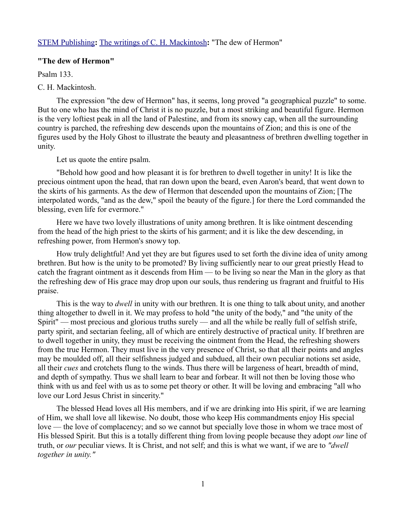## [STEM Publishing](http://www.stempublishing.com/)**:** [The writings of C. H. Mackintosh](http://www.stempublishing.com/authors/mackintosh/index.html)**:** "The dew of Hermon"

## **"The dew of Hermon"**

Psalm 133.

## C. H. Mackintosh.

The expression "the dew of Hermon" has, it seems, long proved "a geographical puzzle" to some. But to one who has the mind of Christ it is no puzzle, but a most striking and beautiful figure. Hermon is the very loftiest peak in all the land of Palestine, and from its snowy cap, when all the surrounding country is parched, the refreshing dew descends upon the mountains of Zion; and this is one of the figures used by the Holy Ghost to illustrate the beauty and pleasantness of brethren dwelling together in unity.

Let us quote the entire psalm.

"Behold how good and how pleasant it is for brethren to dwell together in unity! It is like the precious ointment upon the head, that ran down upon the beard, even Aaron's beard, that went down to the skirts of his garments. As the dew of Hermon that descended upon the mountains of Zion; [The interpolated words, "and as the dew," spoil the beauty of the figure.] for there the Lord commanded the blessing, even life for evermore."

Here we have two lovely illustrations of unity among brethren. It is like ointment descending from the head of the high priest to the skirts of his garment; and it is like the dew descending, in refreshing power, from Hermon's snowy top.

How truly delightful! And yet they are but figures used to set forth the divine idea of unity among brethren. But how is the unity to be promoted? By living sufficiently near to our great priestly Head to catch the fragrant ointment as it descends from Him — to be living so near the Man in the glory as that the refreshing dew of His grace may drop upon our souls, thus rendering us fragrant and fruitful to His praise.

This is the way to *dwell* in unity with our brethren. It is one thing to talk about unity, and another thing altogether to dwell in it. We may profess to hold "the unity of the body," and "the unity of the Spirit" — most precious and glorious truths surely — and all the while be really full of selfish strife, party spirit, and sectarian feeling, all of which are entirely destructive of practical unity. If brethren are to dwell together in unity, they must be receiving the ointment from the Head, the refreshing showers from the true Hermon. They must live in the very presence of Christ, so that all their points and angles may be moulded off, all their selfishness judged and subdued, all their own peculiar notions set aside, all their *cues* and crotchets flung to the winds. Thus there will be largeness of heart, breadth of mind, and depth of sympathy. Thus we shall learn to bear and forbear. It will not then be loving those who think with us and feel with us as to some pet theory or other. It will be loving and embracing "all who love our Lord Jesus Christ in sincerity."

The blessed Head loves all His members, and if we are drinking into His spirit, if we are learning of Him, we shall love all likewise. No doubt, those who keep His commandments enjoy His special love — the love of complacency; and so we cannot but specially love those in whom we trace most of His blessed Spirit. But this is a totally different thing from loving people because they adopt *our* line of truth, or *our* peculiar views. It is Christ, and not self; and this is what we want, if we are to *"dwell together in unity."*